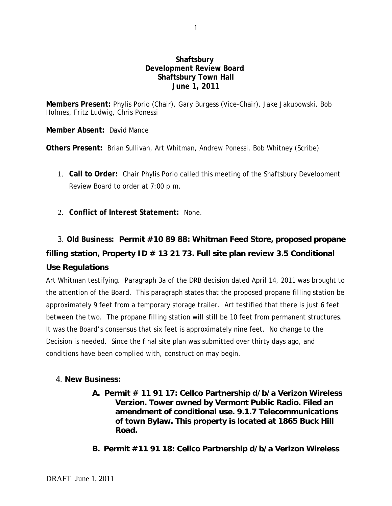## **Shaftsbury Development Review Board Shaftsbury Town Hall June 1, 2011**

**Members Present:** Phylis Porio (Chair), Gary Burgess (Vice-Chair), Jake Jakubowski, Bob Holmes, Fritz Ludwig, Chris Ponessi

**Member Absent:** David Mance

**Others Present:** Brian Sullivan, Art Whitman, Andrew Ponessi, Bob Whitney (Scribe)

- 1. **Call to Order:** Chair Phylis Porio called this meeting of the Shaftsbury Development Review Board to order at 7:00 p.m.
- 2. **Conflict of Interest Statement:** None.

## 3. **Old Business: Permit #10 89 88: Whitman Feed Store, proposed propane filling station, Property ID # 13 21 73. Full site plan review 3.5 Conditional Use Regulations**

Art Whitman testifying. Paragraph 3a of the DRB decision dated April 14, 2011 was brought to the attention of the Board. This paragraph states that the proposed propane filling station be approximately 9 feet from a temporary storage trailer. Art testified that there is just 6 feet between the two. The propane filling station will still be 10 feet from permanent structures. It was the Board's consensus that six feet is approximately nine feet. No change to the Decision is needed. Since the final site plan was submitted over thirty days ago, and conditions have been complied with, construction may begin.

## 4. **New Business:**

- **A. Permit # 11 91 17: Cellco Partnership d/b/a Verizon Wireless Verzion. Tower owned by Vermont Public Radio. Filed an amendment of conditional use. 9.1.7 Telecommunications of town Bylaw. This property is located at 1865 Buck Hill Road.**
- **B. Permit #11 91 18: Cellco Partnership d/b/a Verizon Wireless**